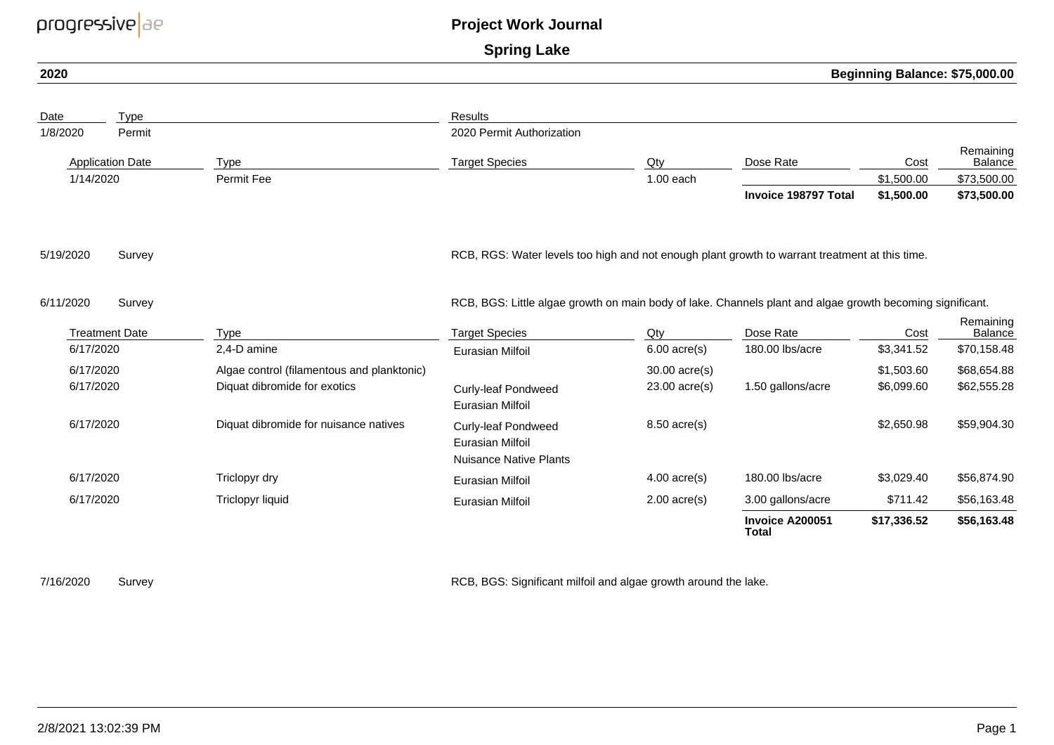| progressive ae          |                       | <b>Project Work Journal</b>                |                                                                                                           |                 |                                 |                                |                      |
|-------------------------|-----------------------|--------------------------------------------|-----------------------------------------------------------------------------------------------------------|-----------------|---------------------------------|--------------------------------|----------------------|
|                         |                       |                                            | <b>Spring Lake</b>                                                                                        |                 |                                 |                                |                      |
| 2020                    |                       |                                            |                                                                                                           |                 |                                 | Beginning Balance: \$75,000.00 |                      |
| Date                    | Type                  |                                            | Results                                                                                                   |                 |                                 |                                |                      |
| 1/8/2020                | Permit                |                                            | 2020 Permit Authorization                                                                                 |                 |                                 |                                |                      |
| <b>Application Date</b> |                       | <b>Type</b>                                | <b>Target Species</b>                                                                                     | Qty             | Dose Rate                       | Cost                           | Remaining<br>Balance |
| 1/14/2020               |                       | Permit Fee                                 |                                                                                                           | $1.00$ each     |                                 | \$1,500.00                     | \$73,500.00          |
|                         |                       |                                            |                                                                                                           |                 | Invoice 198797 Total            | \$1,500.00                     | \$73,500.00          |
| 5/19/2020               | Survey                |                                            | RCB, RGS: Water levels too high and not enough plant growth to warrant treatment at this time.            |                 |                                 |                                |                      |
| 6/11/2020               | Survey                |                                            | RCB, BGS: Little algae growth on main body of lake. Channels plant and algae growth becoming significant. |                 |                                 |                                |                      |
|                         | <b>Treatment Date</b> | <b>Type</b>                                | <b>Target Species</b>                                                                                     | Qty             | Dose Rate                       | Cost                           | Remaining<br>Balance |
| 6/17/2020               |                       | 2,4-D amine                                | Eurasian Milfoil                                                                                          | $6.00$ acre(s)  | 180.00 lbs/acre                 | \$3,341.52                     | \$70,158.48          |
| 6/17/2020               |                       | Algae control (filamentous and planktonic) |                                                                                                           | 30.00 acre(s)   |                                 | \$1,503.60                     | \$68,654.88          |
| 6/17/2020               |                       | Diquat dibromide for exotics               | <b>Curly-leaf Pondweed</b><br>Eurasian Milfoil                                                            | $23.00$ acre(s) | 1.50 gallons/acre               | \$6,099.60                     | \$62,555.28          |
| 6/17/2020               |                       | Diquat dibromide for nuisance natives      | <b>Curly-leaf Pondweed</b><br><b>Eurasian Milfoil</b><br><b>Nuisance Native Plants</b>                    | $8.50$ acre(s)  |                                 | \$2,650.98                     | \$59,904.30          |
| 6/17/2020               |                       | Triclopyr dry                              | Eurasian Milfoil                                                                                          | $4.00$ acre(s)  | 180.00 lbs/acre                 | \$3,029.40                     | \$56,874.90          |
| 6/17/2020               |                       | Triclopyr liquid                           | <b>Eurasian Milfoil</b>                                                                                   | $2.00$ acre(s)  | 3.00 gallons/acre               | \$711.42                       | \$56,163.48          |
|                         |                       |                                            |                                                                                                           |                 | Invoice A200051<br><b>Total</b> | \$17,336.52                    | \$56,163.48          |
|                         |                       |                                            |                                                                                                           |                 |                                 |                                |                      |

7/16/2020

Survey Survey and the lake. Survey and the lake and the lake area of RCB, BGS: Significant milfoil and algae growth around the lake.